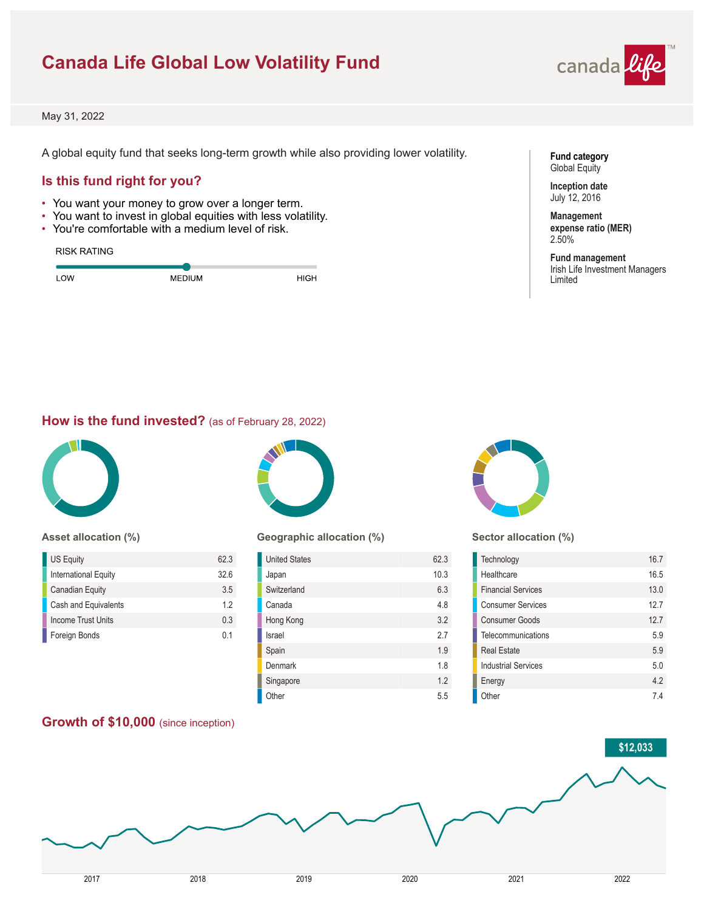# **Canada Life Global Low Volatility Fund**



May 31, 2022

A global equity fund that seeks long-term growth while also providing lower volatility.

# **Is this fund right for you?**

- You want your money to grow over a longer term.
- You want to invest in global equities with less volatility.
- You're comfortable with a medium level of risk.

#### RISK RATING

| <b>OW</b><br><b>MEDIUM</b> | <b>HIGH</b> |
|----------------------------|-------------|

#### **Fund category** Global Equity

**Inception date** July 12, 2016

2.50%

#### **Management expense ratio (MER)**

**Fund management** Irish Life Investment Managers Limited

# **How is the fund invested?** (as of February 28, 2022)



#### **Asset allocation (%)**

| US Equity              | 623            |
|------------------------|----------------|
| International Equity   | 326            |
| <b>Canadian Equity</b> | 3.5            |
| Cash and Equivalents   | 12             |
| Income Trust Units     | 0 <sub>3</sub> |
| Foreign Bonds          | በ 1            |

**Growth of \$10,000** (since inception)



## **Geographic allocation (%)**

| <b>United States</b> | 62.3 |
|----------------------|------|
| Japan                | 10.3 |
| Switzerland          | 6.3  |
| Canada               | 4.8  |
| Hong Kong            | 3.2  |
| Israel               | 2.7  |
| Spain                | 1.9  |
| Denmark              | 1.8  |
| Singapore            | 1.2  |
| Other                | 5.5  |



#### **Sector allocation (%)**

| Technology                 | 16.7 |
|----------------------------|------|
| Healthcare                 | 16.5 |
| <b>Financial Services</b>  | 13.0 |
| <b>Consumer Services</b>   | 12.7 |
| <b>Consumer Goods</b>      | 127  |
| Telecommunications         | 59   |
| <b>Real Estate</b>         | 5.9  |
| <b>Industrial Services</b> | 50   |
| Energy                     | 42   |
| Other                      | 74   |